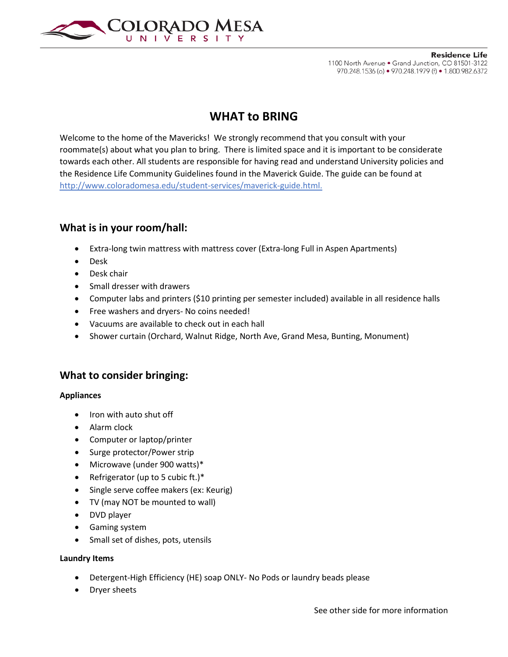

# **WHAT to BRING**

Welcome to the home of the Mavericks! We strongly recommend that you consult with your roommate(s) about what you plan to bring. There is limited space and it is important to be considerate towards each other. All students are responsible for having read and understand University policies and the Residence Life Community Guidelines found in the Maverick Guide. The guide can be found at http://www.coloradomesa.edu/student-services/maverick-guide.html.

### **What is in your room/hall:**

- Extra-long twin mattress with mattress cover (Extra-long Full in Aspen Apartments)
- Desk
- Desk chair
- Small dresser with drawers
- Computer labs and printers (\$10 printing per semester included) available in all residence halls
- Free washers and dryers- No coins needed!
- Vacuums are available to check out in each hall
- Shower curtain (Orchard, Walnut Ridge, North Ave, Grand Mesa, Bunting, Monument)

### **What to consider bringing:**

#### **Appliances**

- Iron with auto shut off
- Alarm clock
- Computer or laptop/printer
- Surge protector/Power strip
- Microwave (under 900 watts)\*
- Refrigerator (up to 5 cubic ft.)\*
- Single serve coffee makers (ex: Keurig)
- TV (may NOT be mounted to wall)
- DVD player
- Gaming system
- Small set of dishes, pots, utensils

#### **Laundry Items**

- Detergent-High Efficiency (HE) soap ONLY- No Pods or laundry beads please
- Dryer sheets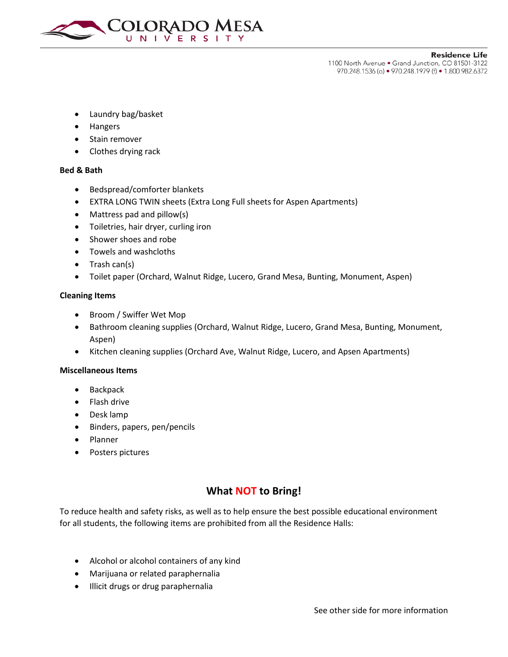

**Residence Life** 

1100 North Avenue . Grand Junction, CO 81501-3122 970.248.1536 (o) • 970.248.1979 (f) • 1.800.982.6372

- Laundry bag/basket
- Hangers
- Stain remover
- Clothes drying rack

#### **Bed & Bath**

- Bedspread/comforter blankets
- EXTRA LONG TWIN sheets (Extra Long Full sheets for Aspen Apartments)
- Mattress pad and pillow(s)
- Toiletries, hair dryer, curling iron
- Shower shoes and robe
- Towels and washcloths
- Trash can(s)
- Toilet paper (Orchard, Walnut Ridge, Lucero, Grand Mesa, Bunting, Monument, Aspen)

#### **Cleaning Items**

- Broom / Swiffer Wet Mop
- Bathroom cleaning supplies (Orchard, Walnut Ridge, Lucero, Grand Mesa, Bunting, Monument, Aspen)
- Kitchen cleaning supplies (Orchard Ave, Walnut Ridge, Lucero, and Apsen Apartments)

#### **Miscellaneous Items**

- **Backpack**
- Flash drive
- Desk lamp
- Binders, papers, pen/pencils
- Planner
- Posters pictures

## **What NOT to Bring!**

To reduce health and safety risks, as well as to help ensure the best possible educational environment for all students, the following items are prohibited from all the Residence Halls:

- Alcohol or alcohol containers of any kind
- Marijuana or related paraphernalia
- Illicit drugs or drug paraphernalia